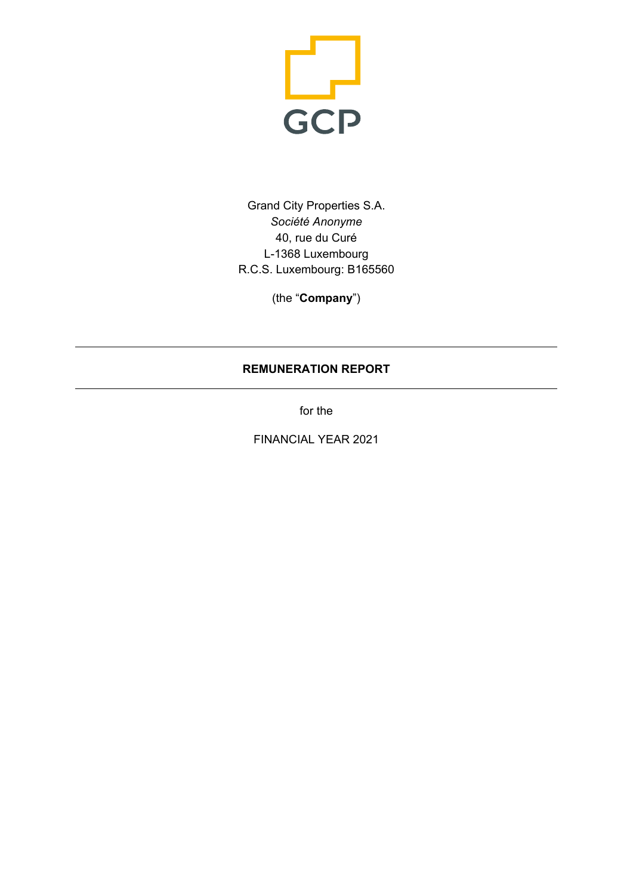

Grand City Properties S.A. *Société Anonyme* 40, rue du Curé L-1368 Luxembourg R.C.S. Luxembourg: B165560

(the "**Company**")

## **REMUNERATION REPORT**

for the

FINANCIAL YEAR 2021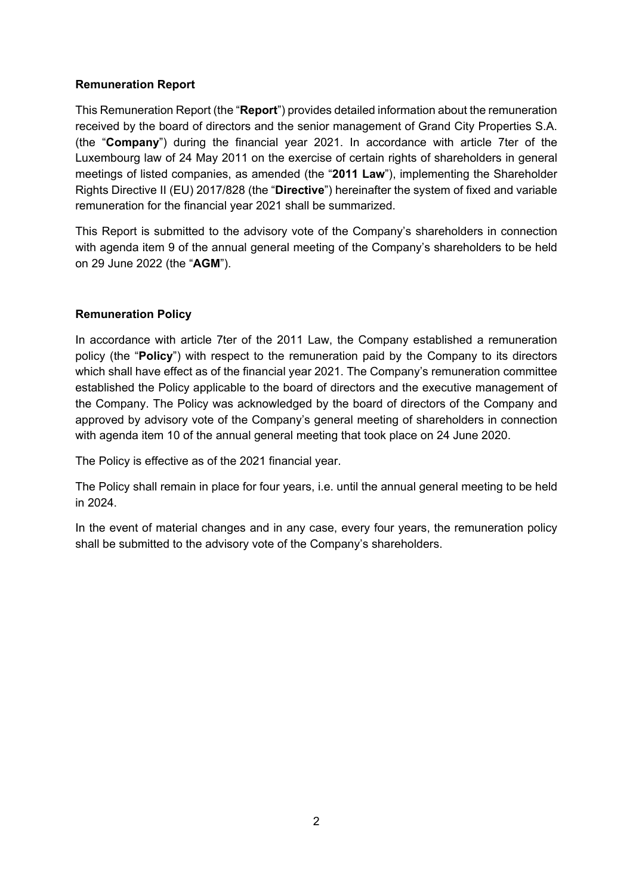### **Remuneration Report**

This Remuneration Report (the "**Report**") provides detailed information about the remuneration received by the board of directors and the senior management of Grand City Properties S.A. (the "**Company**") during the financial year 2021. In accordance with article 7ter of the Luxembourg law of 24 May 2011 on the exercise of certain rights of shareholders in general meetings of listed companies, as amended (the "**2011 Law**"), implementing the Shareholder Rights Directive II (EU) 2017/828 (the "**Directive**") hereinafter the system of fixed and variable remuneration for the financial year 2021 shall be summarized.

This Report is submitted to the advisory vote of the Company's shareholders in connection with agenda item 9 of the annual general meeting of the Company's shareholders to be held on 29 June 2022 (the "**AGM**").

### **Remuneration Policy**

In accordance with article 7ter of the 2011 Law, the Company established a remuneration policy (the "**Policy**") with respect to the remuneration paid by the Company to its directors which shall have effect as of the financial year 2021. The Company's remuneration committee established the Policy applicable to the board of directors and the executive management of the Company. The Policy was acknowledged by the board of directors of the Company and approved by advisory vote of the Company's general meeting of shareholders in connection with agenda item 10 of the annual general meeting that took place on 24 June 2020.

The Policy is effective as of the 2021 financial year.

The Policy shall remain in place for four years, i.e. until the annual general meeting to be held in 2024.

In the event of material changes and in any case, every four years, the remuneration policy shall be submitted to the advisory vote of the Company's shareholders.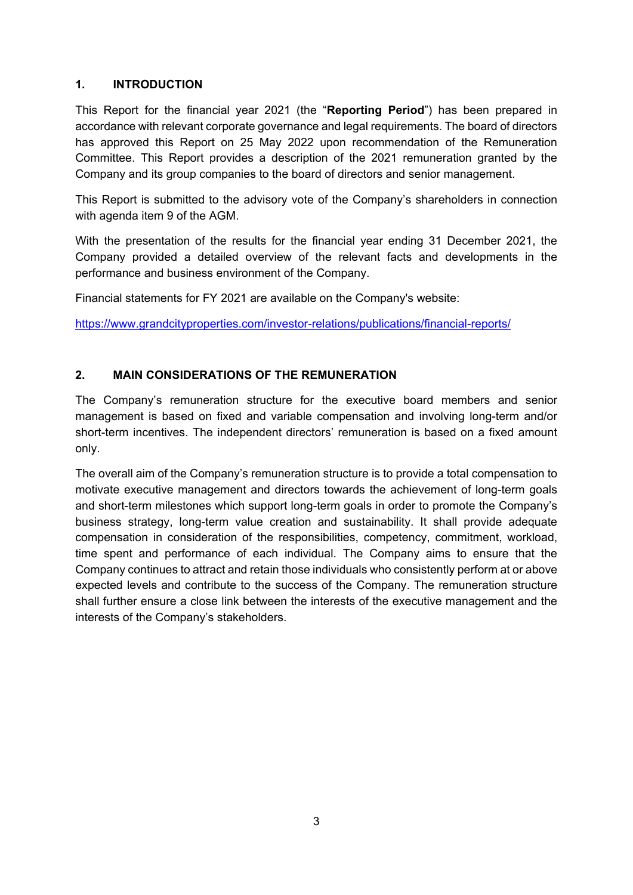### **1. INTRODUCTION**

This Report for the financial year 2021 (the "**Reporting Period**") has been prepared in accordance with relevant corporate governance and legal requirements. The board of directors has approved this Report on 25 May 2022 upon recommendation of the Remuneration Committee. This Report provides a description of the 2021 remuneration granted by the Company and its group companies to the board of directors and senior management.

This Report is submitted to the advisory vote of the Company's shareholders in connection with agenda item 9 of the AGM.

With the presentation of the results for the financial year ending 31 December 2021, the Company provided a detailed overview of the relevant facts and developments in the performance and business environment of the Company.

Financial statements for FY 2021 are available on the Company's website:

https://www.grandcityproperties.com/investor-relations/publications/financial-reports/

### **2. MAIN CONSIDERATIONS OF THE REMUNERATION**

The Company's remuneration structure for the executive board members and senior management is based on fixed and variable compensation and involving long-term and/or short-term incentives. The independent directors' remuneration is based on a fixed amount only.

The overall aim of the Company's remuneration structure is to provide a total compensation to motivate executive management and directors towards the achievement of long-term goals and short-term milestones which support long-term goals in order to promote the Company's business strategy, long-term value creation and sustainability. It shall provide adequate compensation in consideration of the responsibilities, competency, commitment, workload, time spent and performance of each individual. The Company aims to ensure that the Company continues to attract and retain those individuals who consistently perform at or above expected levels and contribute to the success of the Company. The remuneration structure shall further ensure a close link between the interests of the executive management and the interests of the Company's stakeholders.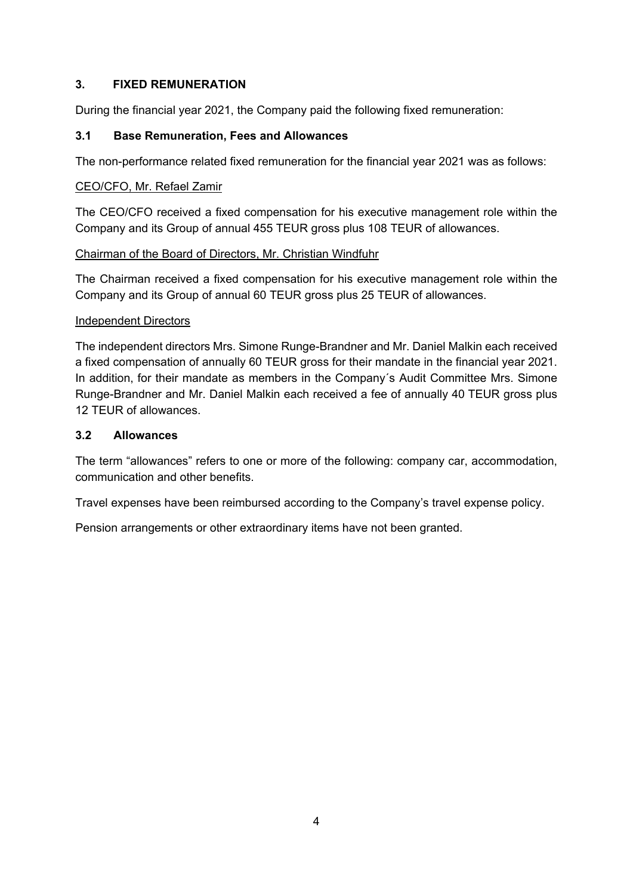### **3. FIXED REMUNERATION**

During the financial year 2021, the Company paid the following fixed remuneration:

### **3.1 Base Remuneration, Fees and Allowances**

The non-performance related fixed remuneration for the financial year 2021 was as follows:

#### CEO/CFO, Mr. Refael Zamir

The CEO/CFO received a fixed compensation for his executive management role within the Company and its Group of annual 455 TEUR gross plus 108 TEUR of allowances.

#### Chairman of the Board of Directors, Mr. Christian Windfuhr

The Chairman received a fixed compensation for his executive management role within the Company and its Group of annual 60 TEUR gross plus 25 TEUR of allowances.

### Independent Directors

The independent directors Mrs. Simone Runge-Brandner and Mr. Daniel Malkin each received a fixed compensation of annually 60 TEUR gross for their mandate in the financial year 2021. In addition, for their mandate as members in the Company´s Audit Committee Mrs. Simone Runge-Brandner and Mr. Daniel Malkin each received a fee of annually 40 TEUR gross plus 12 TEUR of allowances.

### **3.2 Allowances**

The term "allowances" refers to one or more of the following: company car, accommodation, communication and other benefits.

Travel expenses have been reimbursed according to the Company's travel expense policy.

Pension arrangements or other extraordinary items have not been granted.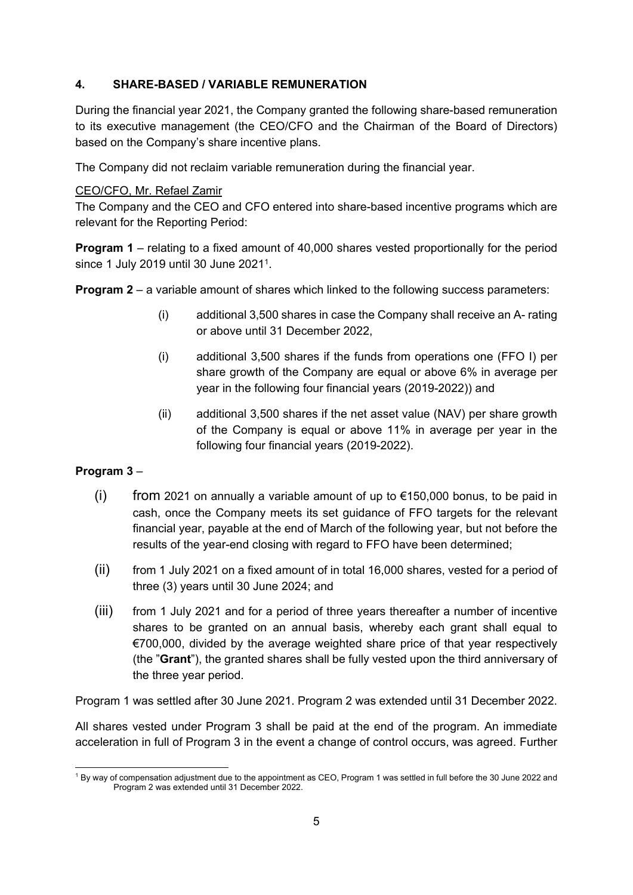## **4. SHARE-BASED / VARIABLE REMUNERATION**

During the financial year 2021, the Company granted the following share-based remuneration to its executive management (the CEO/CFO and the Chairman of the Board of Directors) based on the Company's share incentive plans.

The Company did not reclaim variable remuneration during the financial year.

### CEO/CFO, Mr. Refael Zamir

The Company and the CEO and CFO entered into share-based incentive programs which are relevant for the Reporting Period:

**Program 1** – relating to a fixed amount of 40,000 shares vested proportionally for the period since 1 July 2019 until 30 June 2021<sup>1</sup>.

**Program 2** – a variable amount of shares which linked to the following success parameters:

- (i) additional 3,500 shares in case the Company shall receive an A- rating or above until 31 December 2022,
- (i) additional 3,500 shares if the funds from operations one (FFO I) per share growth of the Company are equal or above 6% in average per year in the following four financial years (2019-2022)) and
- (ii) additional 3,500 shares if the net asset value (NAV) per share growth of the Company is equal or above 11% in average per year in the following four financial years (2019-2022).

### **Program 3** –

- (i) from 2021 on annually a variable amount of up to  $\epsilon$ 150,000 bonus, to be paid in cash, once the Company meets its set guidance of FFO targets for the relevant financial year, payable at the end of March of the following year, but not before the results of the year-end closing with regard to FFO have been determined;
- (ii) from 1 July 2021 on a fixed amount of in total 16,000 shares, vested for a period of three (3) years until 30 June 2024; and
- (iii) from 1 July 2021 and for a period of three years thereafter a number of incentive shares to be granted on an annual basis, whereby each grant shall equal to €700,000, divided by the average weighted share price of that year respectively (the "**Grant**"), the granted shares shall be fully vested upon the third anniversary of the three year period.

Program 1 was settled after 30 June 2021. Program 2 was extended until 31 December 2022.

All shares vested under Program 3 shall be paid at the end of the program. An immediate acceleration in full of Program 3 in the event a change of control occurs, was agreed. Further

<sup>1</sup> By way of compensation adjustment due to the appointment as CEO, Program 1 was settled in full before the 30 June 2022 and Program 2 was extended until 31 December 2022.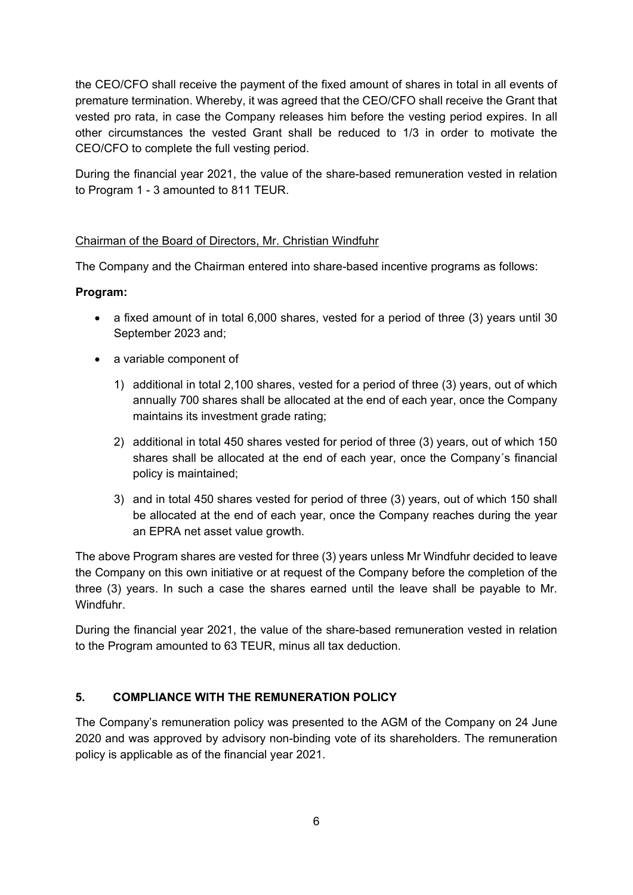the CEO/CFO shall receive the payment of the fixed amount of shares in total in all events of premature termination. Whereby, it was agreed that the CEO/CFO shall receive the Grant that vested pro rata, in case the Company releases him before the vesting period expires. In all other circumstances the vested Grant shall be reduced to 1/3 in order to motivate the CEO/CFO to complete the full vesting period.

During the financial year 2021, the value of the share-based remuneration vested in relation to Program 1 - 3 amounted to 811 TEUR.

### Chairman of the Board of Directors, Mr. Christian Windfuhr

The Company and the Chairman entered into share-based incentive programs as follows:

### **Program:**

- a fixed amount of in total 6,000 shares, vested for a period of three (3) years until 30 September 2023 and;
- a variable component of
	- 1) additional in total 2,100 shares, vested for a period of three (3) years, out of which annually 700 shares shall be allocated at the end of each year, once the Company maintains its investment grade rating;
	- 2) additional in total 450 shares vested for period of three (3) years, out of which 150 shares shall be allocated at the end of each year, once the Company´s financial policy is maintained;
	- 3) and in total 450 shares vested for period of three (3) years, out of which 150 shall be allocated at the end of each year, once the Company reaches during the year an EPRA net asset value growth.

The above Program shares are vested for three (3) years unless Mr Windfuhr decided to leave the Company on this own initiative or at request of the Company before the completion of the three (3) years. In such a case the shares earned until the leave shall be payable to Mr. Windfuhr.

During the financial year 2021, the value of the share-based remuneration vested in relation to the Program amounted to 63 TEUR, minus all tax deduction.

### **5. COMPLIANCE WITH THE REMUNERATION POLICY**

The Company's remuneration policy was presented to the AGM of the Company on 24 June 2020 and was approved by advisory non-binding vote of its shareholders. The remuneration policy is applicable as of the financial year 2021.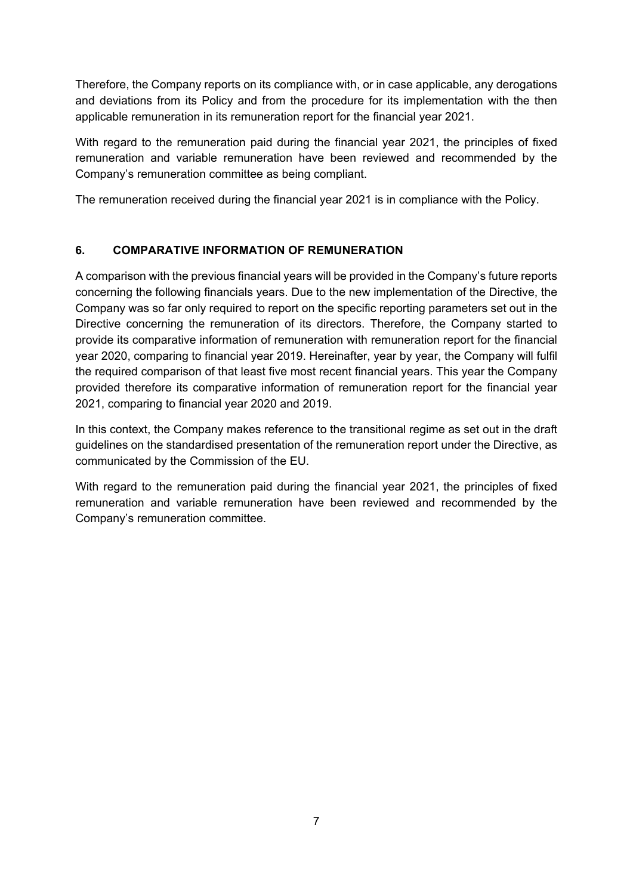Therefore, the Company reports on its compliance with, or in case applicable, any derogations and deviations from its Policy and from the procedure for its implementation with the then applicable remuneration in its remuneration report for the financial year 2021.

With regard to the remuneration paid during the financial year 2021, the principles of fixed remuneration and variable remuneration have been reviewed and recommended by the Company's remuneration committee as being compliant.

The remuneration received during the financial year 2021 is in compliance with the Policy.

## **6. COMPARATIVE INFORMATION OF REMUNERATION**

A comparison with the previous financial years will be provided in the Company's future reports concerning the following financials years. Due to the new implementation of the Directive, the Company was so far only required to report on the specific reporting parameters set out in the Directive concerning the remuneration of its directors. Therefore, the Company started to provide its comparative information of remuneration with remuneration report for the financial year 2020, comparing to financial year 2019. Hereinafter, year by year, the Company will fulfil the required comparison of that least five most recent financial years. This year the Company provided therefore its comparative information of remuneration report for the financial year 2021, comparing to financial year 2020 and 2019.

In this context, the Company makes reference to the transitional regime as set out in the draft guidelines on the standardised presentation of the remuneration report under the Directive, as communicated by the Commission of the EU.

With regard to the remuneration paid during the financial year 2021, the principles of fixed remuneration and variable remuneration have been reviewed and recommended by the Company's remuneration committee.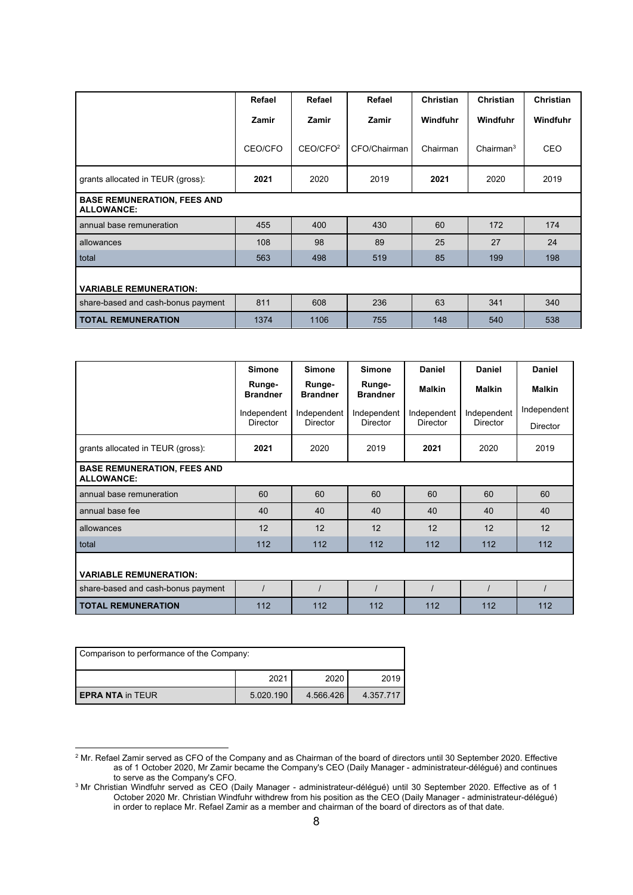|                                                         | Refael  | Refael               | Refael       | <b>Christian</b> | <b>Christian</b>      | Christian |  |
|---------------------------------------------------------|---------|----------------------|--------------|------------------|-----------------------|-----------|--|
|                                                         | Zamir   | Zamir                | Zamir        | Windfuhr         | Windfuhr              | Windfuhr  |  |
|                                                         | CEO/CFO | CEO/CFO <sup>2</sup> | CFO/Chairman | Chairman         | Chairman <sup>3</sup> | CEO       |  |
| grants allocated in TEUR (gross):                       | 2021    | 2020                 | 2019         | 2021             | 2020                  | 2019      |  |
| <b>BASE REMUNERATION, FEES AND</b><br><b>ALLOWANCE:</b> |         |                      |              |                  |                       |           |  |
| annual base remuneration                                | 455     | 400                  | 430          | 60               | 172                   | 174       |  |
| allowances                                              | 108     | 98                   | 89           | 25               | 27                    | 24        |  |
| total                                                   | 563     | 498                  | 519          | 85               | 199                   | 198       |  |
| <b>VARIABLE REMUNERATION:</b>                           |         |                      |              |                  |                       |           |  |
| share-based and cash-bonus payment                      | 811     | 608                  | 236          | 63               | 341                   | 340       |  |
| <b>TOTAL REMUNERATION</b>                               | 1374    | 1106                 | 755          | 148              | 540                   | 538       |  |

|                                                         | <b>Simone</b>             | <b>Simone</b>             | <b>Simone</b>             | <b>Daniel</b>   | <b>Daniel</b>                  | <b>Daniel</b>   |
|---------------------------------------------------------|---------------------------|---------------------------|---------------------------|-----------------|--------------------------------|-----------------|
|                                                         | Runge-<br><b>Brandner</b> | Runge-<br><b>Brandner</b> | Runge-<br><b>Brandner</b> | <b>Malkin</b>   | <b>Malkin</b>                  | <b>Malkin</b>   |
|                                                         | Independent               | Independent               | Independent               | Independent     | Independent<br><b>Director</b> | Independent     |
|                                                         | Director                  | <b>Director</b>           | <b>Director</b>           | <b>Director</b> |                                | <b>Director</b> |
| grants allocated in TEUR (gross):                       | 2021                      | 2020                      | 2019                      | 2021            | 2020                           | 2019            |
| <b>BASE REMUNERATION, FEES AND</b><br><b>ALLOWANCE:</b> |                           |                           |                           |                 |                                |                 |
| annual base remuneration                                | 60                        | 60                        | 60                        | 60              | 60                             | 60              |
| annual base fee                                         | 40                        | 40                        | 40                        | 40              | 40                             | 40              |
| allowances                                              | 12                        | 12                        | 12                        | 12              | 12                             | 12              |
| total                                                   | 112                       | 112                       | 112                       | 112             | 112                            | 112             |
| <b>VARIABLE REMUNERATION:</b>                           |                           |                           |                           |                 |                                |                 |
| share-based and cash-bonus payment                      |                           |                           |                           |                 |                                |                 |
| <b>TOTAL REMUNERATION</b>                               | 112                       | 112                       | 112                       | 112             | 112                            | 112             |

| Comparison to performance of the Company: |           |           |           |  |
|-------------------------------------------|-----------|-----------|-----------|--|
|                                           | 2021      | 2020      | 2019      |  |
| <b>EPRA NTA in TEUR</b>                   | 5.020.190 | 4.566.426 | 4.357.717 |  |

 $^2$  Mr. Refael Zamir served as CFO of the Company and as Chairman of the board of directors until 30 September 2020. Effective as of 1 October 2020, Mr Zamir became the Company's CEO (Daily Manager - administrateur-délégué) and continues to serve as the Company's CFO.<br><sup>3</sup> Mr. Christian Windfubr served as CEO (D<sup>3</sup>

Mr Christian Windfuhr served as CEO (Daily Manager - administrateur-délégué) until 30 September 2020. Effective as of 1 October 2020 Mr. Christian Windfuhr withdrew from his position as the CEO (Daily Manager - administrateur-délégué) in order to replace Mr. Refael Zamir as a member and chairman of the board of directors as of that date.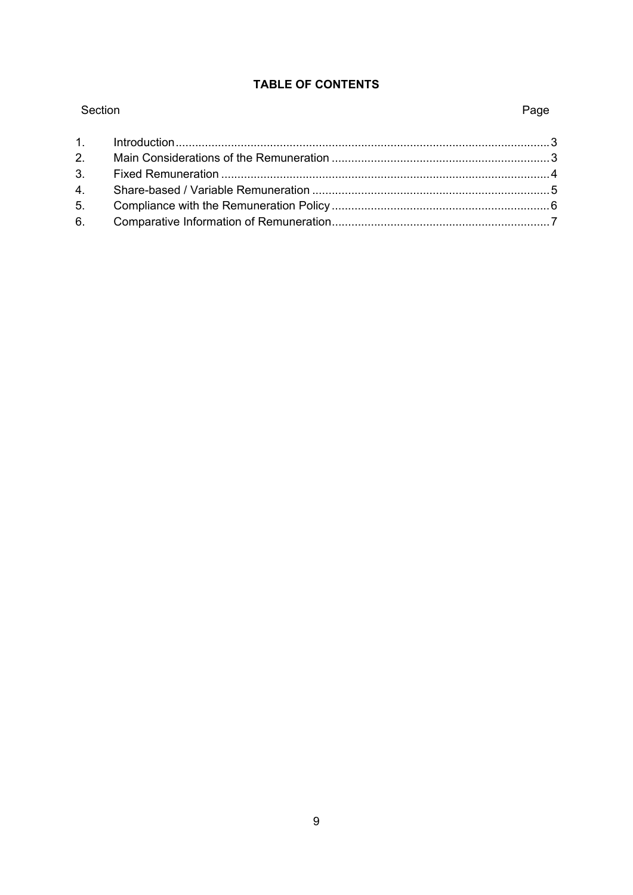# TABLE OF CONTENTS

| Section | Page |
|---------|------|
|         |      |
|         |      |
|         |      |
|         |      |
|         |      |
|         |      |

# Page